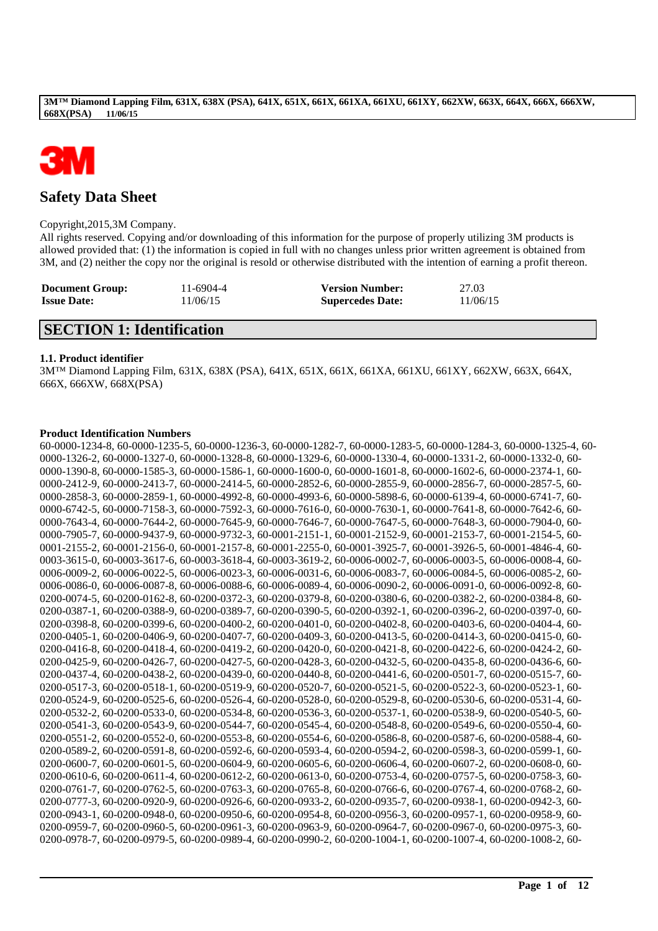

# **Safety Data Sheet**

## Copyright,2015,3M Company.

All rights reserved. Copying and/or downloading of this information for the purpose of properly utilizing 3M products is allowed provided that: (1) the information is copied in full with no changes unless prior written agreement is obtained from 3M, and (2) neither the copy nor the original is resold or otherwise distributed with the intention of earning a profit thereon.

| <b>Document Group:</b> | 11-6904-4 | <b>Version Number:</b>  | 27.03    |
|------------------------|-----------|-------------------------|----------|
| <b>Issue Date:</b>     | 11/06/15  | <b>Supercedes Date:</b> | 11/06/15 |

# **SECTION 1: Identification**

# **1.1. Product identifier**

3M™ Diamond Lapping Film, 631X, 638X (PSA), 641X, 651X, 661X, 661XA, 661XU, 661XY, 662XW, 663X, 664X, 666X, 666XW, 668X(PSA)

# **Product Identification Numbers**

60-0000-1234-8, 60-0000-1235-5, 60-0000-1236-3, 60-0000-1282-7, 60-0000-1283-5, 60-0000-1284-3, 60-0000-1325-4, 60- 0000-1326-2, 60-0000-1327-0, 60-0000-1328-8, 60-0000-1329-6, 60-0000-1330-4, 60-0000-1331-2, 60-0000-1332-0, 60- 0000-1390-8, 60-0000-1585-3, 60-0000-1586-1, 60-0000-1600-0, 60-0000-1601-8, 60-0000-1602-6, 60-0000-2374-1, 60- 0000-2412-9, 60-0000-2413-7, 60-0000-2414-5, 60-0000-2852-6, 60-0000-2855-9, 60-0000-2856-7, 60-0000-2857-5, 60- 0000-2858-3, 60-0000-2859-1, 60-0000-4992-8, 60-0000-4993-6, 60-0000-5898-6, 60-0000-6139-4, 60-0000-6741-7, 60- 0000-6742-5, 60-0000-7158-3, 60-0000-7592-3, 60-0000-7616-0, 60-0000-7630-1, 60-0000-7641-8, 60-0000-7642-6, 60- 0000-7643-4, 60-0000-7644-2, 60-0000-7645-9, 60-0000-7646-7, 60-0000-7647-5, 60-0000-7648-3, 60-0000-7904-0, 60- 0000-7905-7, 60-0000-9437-9, 60-0000-9732-3, 60-0001-2151-1, 60-0001-2152-9, 60-0001-2153-7, 60-0001-2154-5, 60- 0001-2155-2, 60-0001-2156-0, 60-0001-2157-8, 60-0001-2255-0, 60-0001-3925-7, 60-0001-3926-5, 60-0001-4846-4, 60- 0003-3615-0, 60-0003-3617-6, 60-0003-3618-4, 60-0003-3619-2, 60-0006-0002-7, 60-0006-0003-5, 60-0006-0008-4, 60- 0006-0009-2, 60-0006-0022-5, 60-0006-0023-3, 60-0006-0031-6, 60-0006-0083-7, 60-0006-0084-5, 60-0006-0085-2, 60- 0006-0086-0, 60-0006-0087-8, 60-0006-0088-6, 60-0006-0089-4, 60-0006-0090-2, 60-0006-0091-0, 60-0006-0092-8, 60- 0200-0074-5, 60-0200-0162-8, 60-0200-0372-3, 60-0200-0379-8, 60-0200-0380-6, 60-0200-0382-2, 60-0200-0384-8, 60- 0200-0387-1, 60-0200-0388-9, 60-0200-0389-7, 60-0200-0390-5, 60-0200-0392-1, 60-0200-0396-2, 60-0200-0397-0, 60- 0200-0398-8, 60-0200-0399-6, 60-0200-0400-2, 60-0200-0401-0, 60-0200-0402-8, 60-0200-0403-6, 60-0200-0404-4, 60- 0200-0405-1, 60-0200-0406-9, 60-0200-0407-7, 60-0200-0409-3, 60-0200-0413-5, 60-0200-0414-3, 60-0200-0415-0, 60- 0200-0416-8, 60-0200-0418-4, 60-0200-0419-2, 60-0200-0420-0, 60-0200-0421-8, 60-0200-0422-6, 60-0200-0424-2, 60- 0200-0425-9, 60-0200-0426-7, 60-0200-0427-5, 60-0200-0428-3, 60-0200-0432-5, 60-0200-0435-8, 60-0200-0436-6, 60- 0200-0437-4, 60-0200-0438-2, 60-0200-0439-0, 60-0200-0440-8, 60-0200-0441-6, 60-0200-0501-7, 60-0200-0515-7, 60- 0200-0517-3, 60-0200-0518-1, 60-0200-0519-9, 60-0200-0520-7, 60-0200-0521-5, 60-0200-0522-3, 60-0200-0523-1, 60- 0200-0524-9, 60-0200-0525-6, 60-0200-0526-4, 60-0200-0528-0, 60-0200-0529-8, 60-0200-0530-6, 60-0200-0531-4, 60- 0200-0532-2, 60-0200-0533-0, 60-0200-0534-8, 60-0200-0536-3, 60-0200-0537-1, 60-0200-0538-9, 60-0200-0540-5, 60- 0200-0541-3, 60-0200-0543-9, 60-0200-0544-7, 60-0200-0545-4, 60-0200-0548-8, 60-0200-0549-6, 60-0200-0550-4, 60- 0200-0551-2, 60-0200-0552-0, 60-0200-0553-8, 60-0200-0554-6, 60-0200-0586-8, 60-0200-0587-6, 60-0200-0588-4, 60- 0200-0589-2, 60-0200-0591-8, 60-0200-0592-6, 60-0200-0593-4, 60-0200-0594-2, 60-0200-0598-3, 60-0200-0599-1, 60- 0200-0600-7, 60-0200-0601-5, 60-0200-0604-9, 60-0200-0605-6, 60-0200-0606-4, 60-0200-0607-2, 60-0200-0608-0, 60- 0200-0610-6, 60-0200-0611-4, 60-0200-0612-2, 60-0200-0613-0, 60-0200-0753-4, 60-0200-0757-5, 60-0200-0758-3, 60- 0200-0761-7, 60-0200-0762-5, 60-0200-0763-3, 60-0200-0765-8, 60-0200-0766-6, 60-0200-0767-4, 60-0200-0768-2, 60- 0200-0777-3, 60-0200-0920-9, 60-0200-0926-6, 60-0200-0933-2, 60-0200-0935-7, 60-0200-0938-1, 60-0200-0942-3, 60- 0200-0943-1, 60-0200-0948-0, 60-0200-0950-6, 60-0200-0954-8, 60-0200-0956-3, 60-0200-0957-1, 60-0200-0958-9, 60- 0200-0959-7, 60-0200-0960-5, 60-0200-0961-3, 60-0200-0963-9, 60-0200-0964-7, 60-0200-0967-0, 60-0200-0975-3, 60- 0200-0978-7, 60-0200-0979-5, 60-0200-0989-4, 60-0200-0990-2, 60-0200-1004-1, 60-0200-1007-4, 60-0200-1008-2, 60-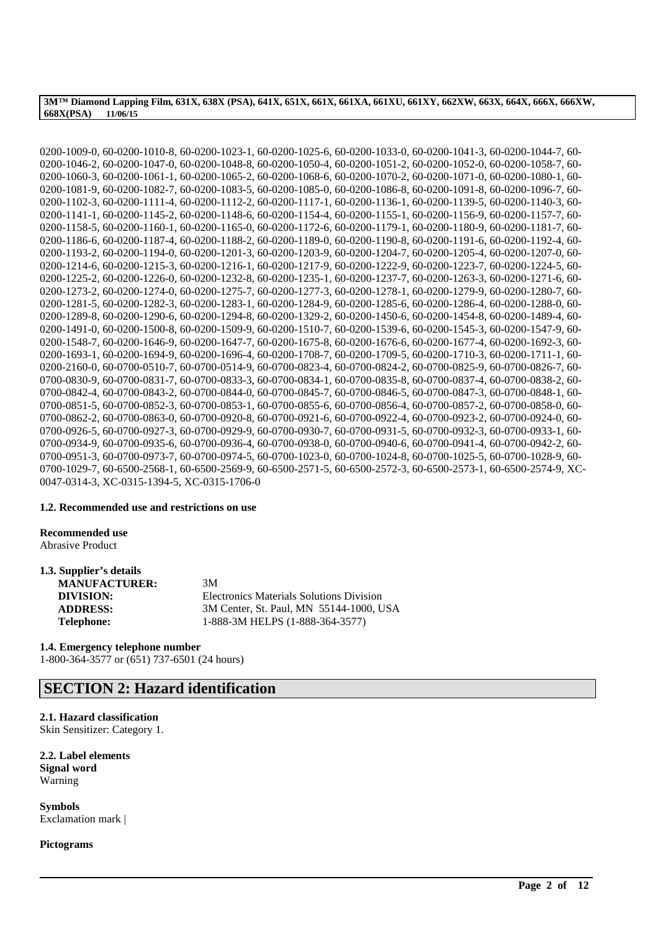0200-1009-0, 60-0200-1010-8, 60-0200-1023-1, 60-0200-1025-6, 60-0200-1033-0, 60-0200-1041-3, 60-0200-1044-7, 60- 0200-1046-2, 60-0200-1047-0, 60-0200-1048-8, 60-0200-1050-4, 60-0200-1051-2, 60-0200-1052-0, 60-0200-1058-7, 60- 0200-1060-3, 60-0200-1061-1, 60-0200-1065-2, 60-0200-1068-6, 60-0200-1070-2, 60-0200-1071-0, 60-0200-1080-1, 60- 0200-1081-9, 60-0200-1082-7, 60-0200-1083-5, 60-0200-1085-0, 60-0200-1086-8, 60-0200-1091-8, 60-0200-1096-7, 60- 0200-1102-3, 60-0200-1111-4, 60-0200-1112-2, 60-0200-1117-1, 60-0200-1136-1, 60-0200-1139-5, 60-0200-1140-3, 60- 0200-1141-1, 60-0200-1145-2, 60-0200-1148-6, 60-0200-1154-4, 60-0200-1155-1, 60-0200-1156-9, 60-0200-1157-7, 60- 0200-1158-5, 60-0200-1160-1, 60-0200-1165-0, 60-0200-1172-6, 60-0200-1179-1, 60-0200-1180-9, 60-0200-1181-7, 60- 0200-1186-6, 60-0200-1187-4, 60-0200-1188-2, 60-0200-1189-0, 60-0200-1190-8, 60-0200-1191-6, 60-0200-1192-4, 60- 0200-1193-2, 60-0200-1194-0, 60-0200-1201-3, 60-0200-1203-9, 60-0200-1204-7, 60-0200-1205-4, 60-0200-1207-0, 60- 0200-1214-6, 60-0200-1215-3, 60-0200-1216-1, 60-0200-1217-9, 60-0200-1222-9, 60-0200-1223-7, 60-0200-1224-5, 60- 0200-1225-2, 60-0200-1226-0, 60-0200-1232-8, 60-0200-1235-1, 60-0200-1237-7, 60-0200-1263-3, 60-0200-1271-6, 60- 0200-1273-2, 60-0200-1274-0, 60-0200-1275-7, 60-0200-1277-3, 60-0200-1278-1, 60-0200-1279-9, 60-0200-1280-7, 60- 0200-1281-5, 60-0200-1282-3, 60-0200-1283-1, 60-0200-1284-9, 60-0200-1285-6, 60-0200-1286-4, 60-0200-1288-0, 60- 0200-1289-8, 60-0200-1290-6, 60-0200-1294-8, 60-0200-1329-2, 60-0200-1450-6, 60-0200-1454-8, 60-0200-1489-4, 60- 0200-1491-0, 60-0200-1500-8, 60-0200-1509-9, 60-0200-1510-7, 60-0200-1539-6, 60-0200-1545-3, 60-0200-1547-9, 60- 0200-1548-7, 60-0200-1646-9, 60-0200-1647-7, 60-0200-1675-8, 60-0200-1676-6, 60-0200-1677-4, 60-0200-1692-3, 60- 0200-1693-1, 60-0200-1694-9, 60-0200-1696-4, 60-0200-1708-7, 60-0200-1709-5, 60-0200-1710-3, 60-0200-1711-1, 60- 0200-2160-0, 60-0700-0510-7, 60-0700-0514-9, 60-0700-0823-4, 60-0700-0824-2, 60-0700-0825-9, 60-0700-0826-7, 60- 0700-0830-9, 60-0700-0831-7, 60-0700-0833-3, 60-0700-0834-1, 60-0700-0835-8, 60-0700-0837-4, 60-0700-0838-2, 60- 0700-0842-4, 60-0700-0843-2, 60-0700-0844-0, 60-0700-0845-7, 60-0700-0846-5, 60-0700-0847-3, 60-0700-0848-1, 60- 0700-0851-5, 60-0700-0852-3, 60-0700-0853-1, 60-0700-0855-6, 60-0700-0856-4, 60-0700-0857-2, 60-0700-0858-0, 60- 0700-0862-2, 60-0700-0863-0, 60-0700-0920-8, 60-0700-0921-6, 60-0700-0922-4, 60-0700-0923-2, 60-0700-0924-0, 60- 0700-0926-5, 60-0700-0927-3, 60-0700-0929-9, 60-0700-0930-7, 60-0700-0931-5, 60-0700-0932-3, 60-0700-0933-1, 60- 0700-0934-9, 60-0700-0935-6, 60-0700-0936-4, 60-0700-0938-0, 60-0700-0940-6, 60-0700-0941-4, 60-0700-0942-2, 60- 0700-0951-3, 60-0700-0973-7, 60-0700-0974-5, 60-0700-1023-0, 60-0700-1024-8, 60-0700-1025-5, 60-0700-1028-9, 60- 0700-1029-7, 60-6500-2568-1, 60-6500-2569-9, 60-6500-2571-5, 60-6500-2572-3, 60-6500-2573-1, 60-6500-2574-9, XC-0047-0314-3, XC-0315-1394-5, XC-0315-1706-0

\_\_\_\_\_\_\_\_\_\_\_\_\_\_\_\_\_\_\_\_\_\_\_\_\_\_\_\_\_\_\_\_\_\_\_\_\_\_\_\_\_\_\_\_\_\_\_\_\_\_\_\_\_\_\_\_\_\_\_\_\_\_\_\_\_\_\_\_\_\_\_\_\_\_\_\_\_\_\_\_\_\_\_\_\_\_\_\_\_\_

#### **1.2. Recommended use and restrictions on use**

**Recommended use**

Abrasive Product

| 1.3. Supplier's details |                                                 |
|-------------------------|-------------------------------------------------|
| <b>MANUFACTURER:</b>    | 3M                                              |
| DIVISION:               | <b>Electronics Materials Solutions Division</b> |
| <b>ADDRESS:</b>         | 3M Center, St. Paul, MN 55144-1000, USA         |
| <b>Telephone:</b>       | 1-888-3M HELPS (1-888-364-3577)                 |

**1.4. Emergency telephone number** 1-800-364-3577 or (651) 737-6501 (24 hours)

# **SECTION 2: Hazard identification**

# **2.1. Hazard classification**

Skin Sensitizer: Category 1.

**2.2. Label elements Signal word** Warning

**Symbols** Exclamation mark |

**Pictograms**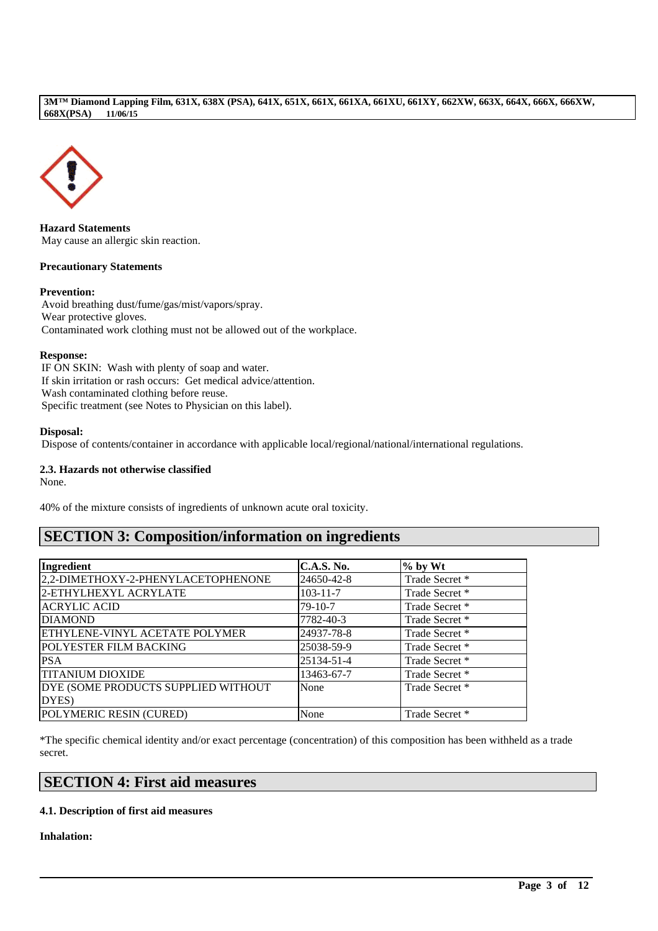

**Hazard Statements** May cause an allergic skin reaction.

# **Precautionary Statements**

# **Prevention:**

Avoid breathing dust/fume/gas/mist/vapors/spray. Wear protective gloves. Contaminated work clothing must not be allowed out of the workplace.

### **Response:**

IF ON SKIN: Wash with plenty of soap and water. If skin irritation or rash occurs: Get medical advice/attention. Wash contaminated clothing before reuse. Specific treatment (see Notes to Physician on this label).

# **Disposal:**

Dispose of contents/container in accordance with applicable local/regional/national/international regulations.

# **2.3. Hazards not otherwise classified**

None.

40% of the mixture consists of ingredients of unknown acute oral toxicity.

# **SECTION 3: Composition/information on ingredients**

| Ingredient                            | <b>C.A.S. No.</b> | $%$ by Wt      |
|---------------------------------------|-------------------|----------------|
| 2,2-DIMETHOXY-2-PHENYLACETOPHENONE    | 24650-42-8        | Trade Secret * |
| 2-ETHYLHEXYL ACRYLATE                 | $103 - 11 - 7$    | Trade Secret * |
| <b>ACRYLIC ACID</b>                   | 79-10-7           | Trade Secret * |
| <b>DIAMOND</b>                        | 7782-40-3         | Trade Secret * |
| <b>ETHYLENE-VINYL ACETATE POLYMER</b> | 24937-78-8        | Trade Secret * |
| <b>POLYESTER FILM BACKING</b>         | 25038-59-9        | Trade Secret * |
| <b>PSA</b>                            | 25134-51-4        | Trade Secret * |
| <b>TITANIUM DIOXIDE</b>               | 13463-67-7        | Trade Secret * |
| DYE (SOME PRODUCTS SUPPLIED WITHOUT   | None              | Trade Secret * |
| DYES)                                 |                   |                |
| POLYMERIC RESIN (CURED)               | None              | Trade Secret * |

\*The specific chemical identity and/or exact percentage (concentration) of this composition has been withheld as a trade secret.

\_\_\_\_\_\_\_\_\_\_\_\_\_\_\_\_\_\_\_\_\_\_\_\_\_\_\_\_\_\_\_\_\_\_\_\_\_\_\_\_\_\_\_\_\_\_\_\_\_\_\_\_\_\_\_\_\_\_\_\_\_\_\_\_\_\_\_\_\_\_\_\_\_\_\_\_\_\_\_\_\_\_\_\_\_\_\_\_\_\_

# **SECTION 4: First aid measures**

# **4.1. Description of first aid measures**

**Inhalation:**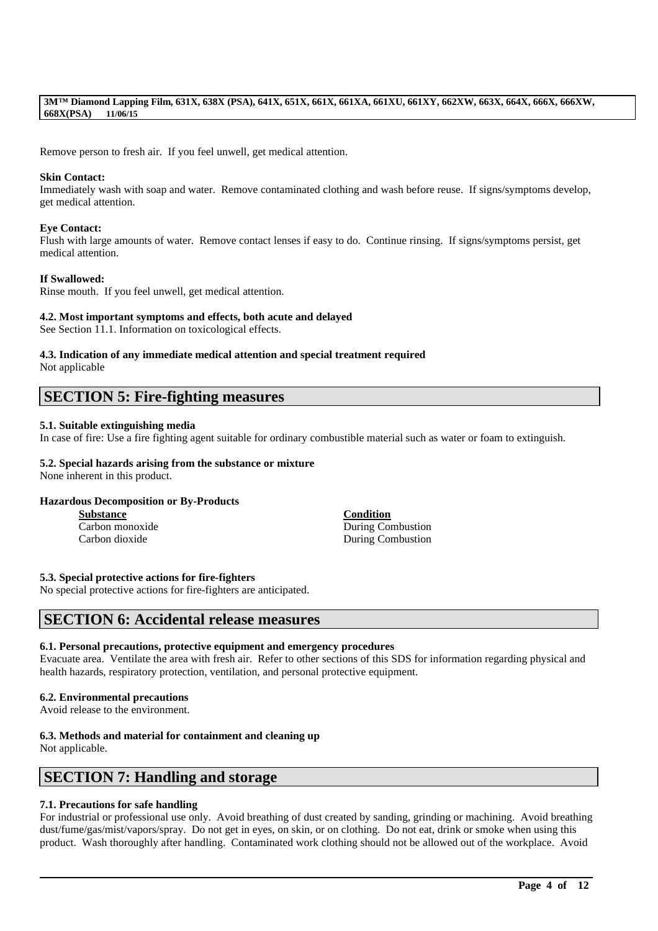Remove person to fresh air. If you feel unwell, get medical attention.

### **Skin Contact:**

Immediately wash with soap and water. Remove contaminated clothing and wash before reuse. If signs/symptoms develop, get medical attention.

# **Eye Contact:**

Flush with large amounts of water. Remove contact lenses if easy to do. Continue rinsing. If signs/symptoms persist, get medical attention.

### **If Swallowed:**

Rinse mouth. If you feel unwell, get medical attention.

### **4.2. Most important symptoms and effects, both acute and delayed**

See Section 11.1. Information on toxicological effects.

## **4.3. Indication of any immediate medical attention and special treatment required**

Not applicable

# **SECTION 5: Fire-fighting measures**

### **5.1. Suitable extinguishing media**

In case of fire: Use a fire fighting agent suitable for ordinary combustible material such as water or foam to extinguish.

# **5.2. Special hazards arising from the substance or mixture**

None inherent in this product.

# **Hazardous Decomposition or By-Products**

**Substance Condition**

Carbon monoxide During Combustion Carbon dioxide During Combustion

#### **5.3. Special protective actions for fire-fighters**

No special protective actions for fire-fighters are anticipated.

# **SECTION 6: Accidental release measures**

#### **6.1. Personal precautions, protective equipment and emergency procedures**

Evacuate area. Ventilate the area with fresh air. Refer to other sections of this SDS for information regarding physical and health hazards, respiratory protection, ventilation, and personal protective equipment.

#### **6.2. Environmental precautions**

Avoid release to the environment.

## **6.3. Methods and material for containment and cleaning up**

Not applicable.

# **SECTION 7: Handling and storage**

# **7.1. Precautions for safe handling**

For industrial or professional use only. Avoid breathing of dust created by sanding, grinding or machining. Avoid breathing dust/fume/gas/mist/vapors/spray. Do not get in eyes, on skin, or on clothing. Do not eat, drink or smoke when using this product. Wash thoroughly after handling. Contaminated work clothing should not be allowed out of the workplace. Avoid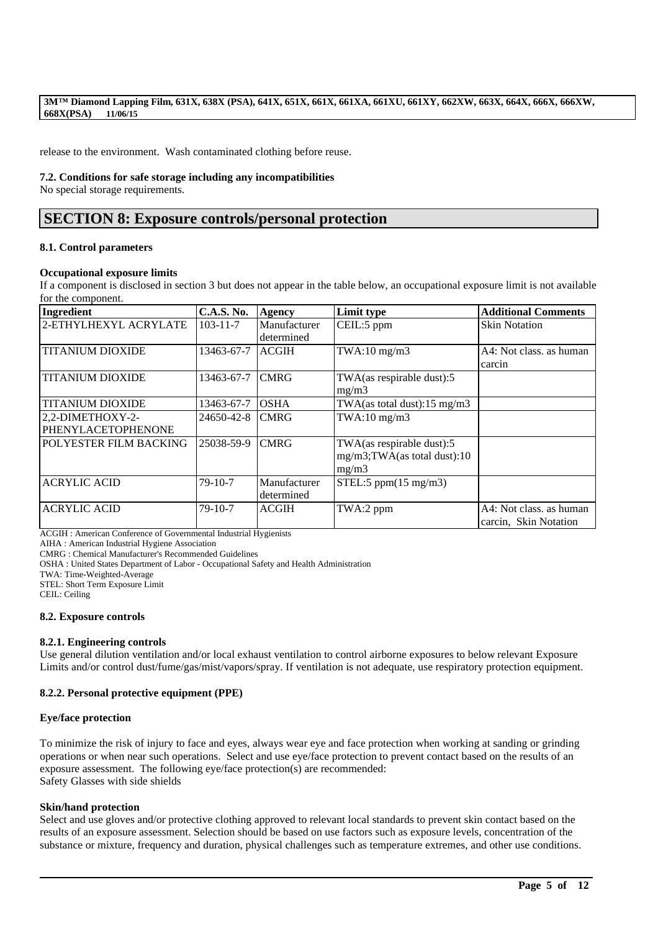release to the environment. Wash contaminated clothing before reuse.

### **7.2. Conditions for safe storage including any incompatibilities**

No special storage requirements.

# **SECTION 8: Exposure controls/personal protection**

### **8.1. Control parameters**

### **Occupational exposure limits**

If a component is disclosed in section 3 but does not appear in the table below, an occupational exposure limit is not available for the component.

| Ingredient              | <b>C.A.S. No.</b> | Agency       | Limit type                              | <b>Additional Comments</b> |
|-------------------------|-------------------|--------------|-----------------------------------------|----------------------------|
| 2-ETHYLHEXYL ACRYLATE   | $103 - 11 - 7$    | Manufacturer | CEIL:5 ppm                              | <b>Skin Notation</b>       |
|                         |                   | determined   |                                         |                            |
| <b>TITANIUM DIOXIDE</b> | 13463-67-7        | <b>ACGIH</b> | $TWA:10$ mg/m $3$                       | A4: Not class, as human    |
|                         |                   |              |                                         | carcin                     |
| <b>TITANIUM DIOXIDE</b> | 13463-67-7        | <b>CMRG</b>  | TWA(as respirable dust):5               |                            |
|                         |                   |              | mg/m3                                   |                            |
| <b>TITANIUM DIOXIDE</b> | 13463-67-7        | <b>OSHA</b>  | TWA(as total dust): $15 \text{ mg/m}$ 3 |                            |
| 2,2-DIMETHOXY-2-        | 24650-42-8        | <b>CMRG</b>  | $TWA:10$ mg/m $3$                       |                            |
| PHENYLACETOPHENONE      |                   |              |                                         |                            |
| POLYESTER FILM BACKING  | 25038-59-9        | <b>CMRG</b>  | TWA(as respirable dust):5               |                            |
|                         |                   |              | mg/m3;TWA(as total dust):10             |                            |
|                         |                   |              | mg/m3                                   |                            |
| <b>ACRYLIC ACID</b>     | $79-10-7$         | Manufacturer | STEL:5 ppm $(15 \text{ mg/m3})$         |                            |
|                         |                   | determined   |                                         |                            |
| <b>ACRYLIC ACID</b>     | $79-10-7$         | <b>ACGIH</b> | TWA:2 ppm                               | A4: Not class, as human    |
|                         |                   |              |                                         | carcin, Skin Notation      |

ACGIH : American Conference of Governmental Industrial Hygienists

AIHA : American Industrial Hygiene Association

CMRG : Chemical Manufacturer's Recommended Guidelines

OSHA : United States Department of Labor - Occupational Safety and Health Administration

TWA: Time-Weighted-Average

STEL: Short Term Exposure Limit

CEIL: Ceiling

# **8.2. Exposure controls**

# **8.2.1. Engineering controls**

Use general dilution ventilation and/or local exhaust ventilation to control airborne exposures to below relevant Exposure Limits and/or control dust/fume/gas/mist/vapors/spray. If ventilation is not adequate, use respiratory protection equipment.

# **8.2.2. Personal protective equipment (PPE)**

# **Eye/face protection**

To minimize the risk of injury to face and eyes, always wear eye and face protection when working at sanding or grinding operations or when near such operations. Select and use eye/face protection to prevent contact based on the results of an exposure assessment. The following eye/face protection(s) are recommended: Safety Glasses with side shields

# **Skin/hand protection**

Select and use gloves and/or protective clothing approved to relevant local standards to prevent skin contact based on the results of an exposure assessment. Selection should be based on use factors such as exposure levels, concentration of the substance or mixture, frequency and duration, physical challenges such as temperature extremes, and other use conditions.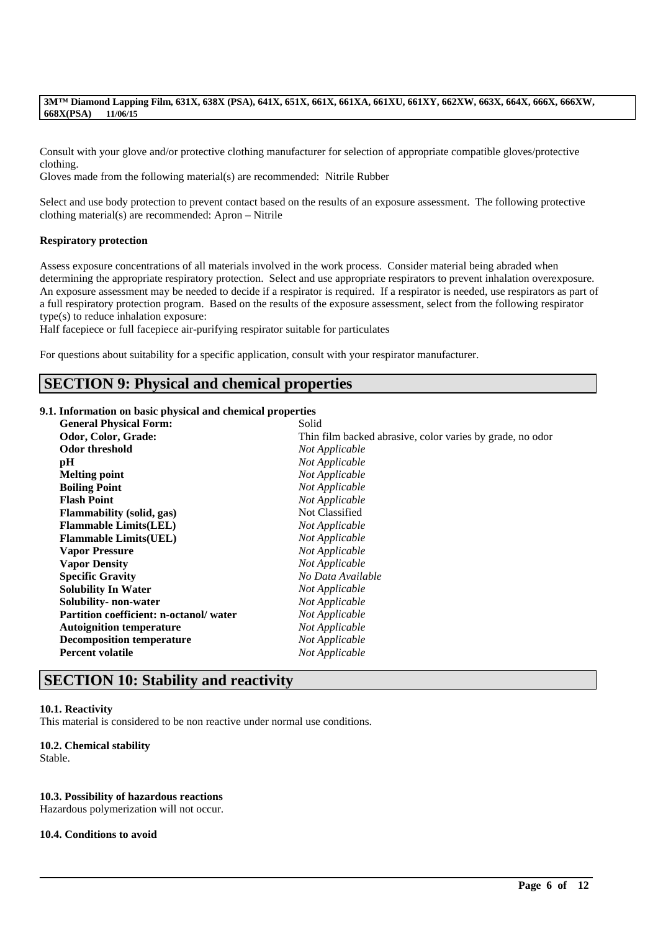Consult with your glove and/or protective clothing manufacturer for selection of appropriate compatible gloves/protective clothing.

Gloves made from the following material(s) are recommended: Nitrile Rubber

Select and use body protection to prevent contact based on the results of an exposure assessment. The following protective clothing material(s) are recommended: Apron – Nitrile

### **Respiratory protection**

Assess exposure concentrations of all materials involved in the work process. Consider material being abraded when determining the appropriate respiratory protection. Select and use appropriate respirators to prevent inhalation overexposure. An exposure assessment may be needed to decide if a respirator is required. If a respirator is needed, use respirators as part of a full respiratory protection program. Based on the results of the exposure assessment, select from the following respirator type(s) to reduce inhalation exposure:

Half facepiece or full facepiece air-purifying respirator suitable for particulates

For questions about suitability for a specific application, consult with your respirator manufacturer.

# **SECTION 9: Physical and chemical properties**

## **9.1. Information on basic physical and chemical properties**

| <b>General Physical Form:</b>          | Solid                                                     |
|----------------------------------------|-----------------------------------------------------------|
| Odor, Color, Grade:                    | Thin film backed abrasive, color varies by grade, no odor |
| Odor threshold                         | Not Applicable                                            |
| pH                                     | Not Applicable                                            |
| Melting point                          | Not Applicable                                            |
| <b>Boiling Point</b>                   | Not Applicable                                            |
| <b>Flash Point</b>                     | Not Applicable                                            |
| <b>Flammability</b> (solid, gas)       | Not Classified                                            |
| <b>Flammable Limits(LEL)</b>           | Not Applicable                                            |
| <b>Flammable Limits(UEL)</b>           | Not Applicable                                            |
| <b>Vapor Pressure</b>                  | Not Applicable                                            |
| <b>Vapor Density</b>                   | Not Applicable                                            |
| <b>Specific Gravity</b>                | No Data Available                                         |
| <b>Solubility In Water</b>             | Not Applicable                                            |
| Solubility- non-water                  | Not Applicable                                            |
| Partition coefficient: n-octanol/water | Not Applicable                                            |
| <b>Autoignition temperature</b>        | Not Applicable                                            |
| <b>Decomposition temperature</b>       | Not Applicable                                            |
| <b>Percent volatile</b>                | Not Applicable                                            |
|                                        |                                                           |

\_\_\_\_\_\_\_\_\_\_\_\_\_\_\_\_\_\_\_\_\_\_\_\_\_\_\_\_\_\_\_\_\_\_\_\_\_\_\_\_\_\_\_\_\_\_\_\_\_\_\_\_\_\_\_\_\_\_\_\_\_\_\_\_\_\_\_\_\_\_\_\_\_\_\_\_\_\_\_\_\_\_\_\_\_\_\_\_\_\_

# **SECTION 10: Stability and reactivity**

#### **10.1. Reactivity**

This material is considered to be non reactive under normal use conditions.

# **10.2. Chemical stability**

Stable.

# **10.3. Possibility of hazardous reactions**

Hazardous polymerization will not occur.

#### **10.4. Conditions to avoid**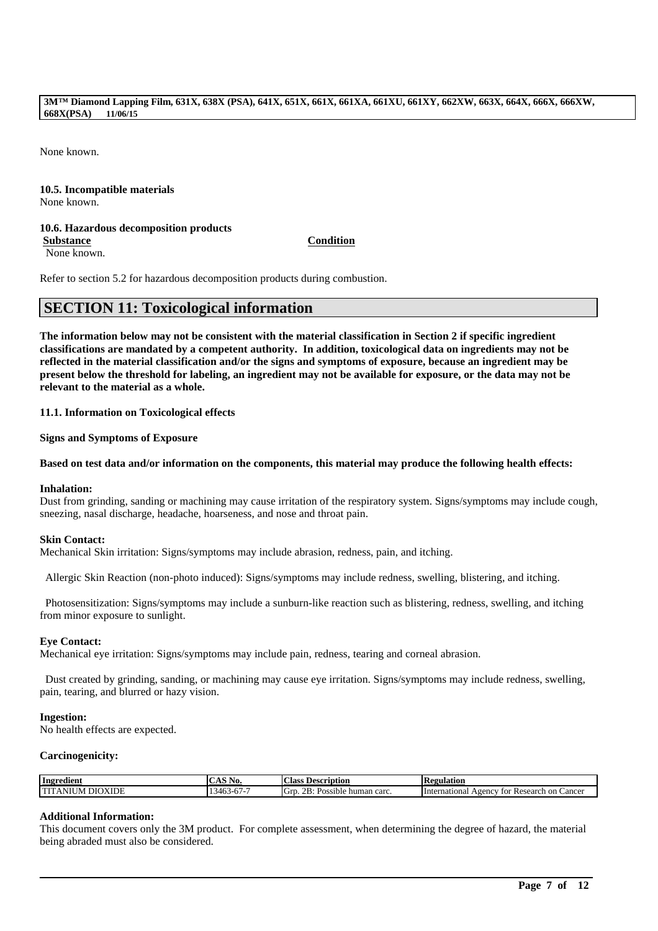None known.

# **10.5. Incompatible materials**

None known.

# **10.6. Hazardous decomposition products**

**Substance Condition**

None known.

Refer to section 5.2 for hazardous decomposition products during combustion.

# **SECTION 11: Toxicological information**

**The information below may not be consistent with the material classification in Section 2 if specific ingredient classifications are mandated by a competent authority. In addition, toxicological data on ingredients may not be reflected in the material classification and/or the signs and symptoms of exposure, because an ingredient may be present below the threshold for labeling, an ingredient may not be available for exposure, or the data may not be relevant to the material as a whole.**

**11.1. Information on Toxicological effects**

**Signs and Symptoms of Exposure**

## **Based on test data and/or information on the components, this material may produce the following health effects:**

#### **Inhalation:**

Dust from grinding, sanding or machining may cause irritation of the respiratory system. Signs/symptoms may include cough, sneezing, nasal discharge, headache, hoarseness, and nose and throat pain.

#### **Skin Contact:**

Mechanical Skin irritation: Signs/symptoms may include abrasion, redness, pain, and itching.

Allergic Skin Reaction (non-photo induced): Signs/symptoms may include redness, swelling, blistering, and itching.

Photosensitization: Signs/symptoms may include a sunburn-like reaction such as blistering, redness, swelling, and itching from minor exposure to sunlight.

#### **Eye Contact:**

Mechanical eye irritation: Signs/symptoms may include pain, redness, tearing and corneal abrasion.

Dust created by grinding, sanding, or machining may cause eye irritation. Signs/symptoms may include redness, swelling, pain, tearing, and blurred or hazy vision.

#### **Ingestion:**

No health effects are expected.

#### **Carcinogenicity:**

| Ingredient                                      | . A.<br>190.           | $\sim$<br>. loceri:<br>intion<br>. lass                                          | 'egulation<br>m                                              |
|-------------------------------------------------|------------------------|----------------------------------------------------------------------------------|--------------------------------------------------------------|
| <b>COLOR</b><br><b>XIDF</b><br>٦٢٢،<br><b>N</b> | - -<br>140.<br>.<br>., | $\sim$<br>$\Omega$<br>╭<br>carc<br>Grt<br>$\sim$<br>human<br>sible<br>A NY<br>-- | International<br>Research<br>vgency<br>on C<br>Cancer<br>tor |

# **Additional Information:**

This document covers only the 3M product. For complete assessment, when determining the degree of hazard, the material being abraded must also be considered.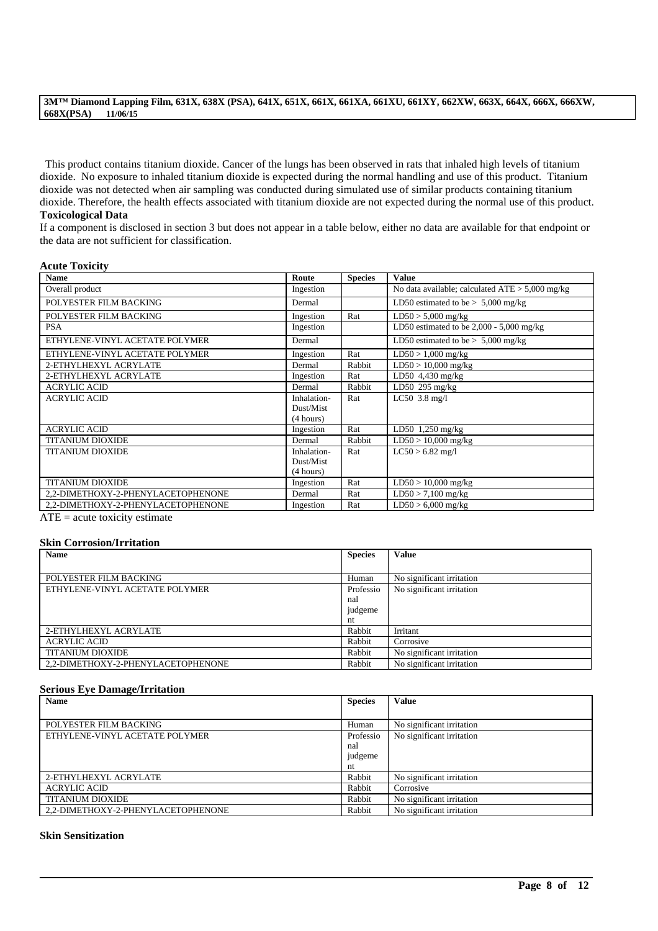This product contains titanium dioxide. Cancer of the lungs has been observed in rats that inhaled high levels of titanium dioxide. No exposure to inhaled titanium dioxide is expected during the normal handling and use of this product. Titanium dioxide was not detected when air sampling was conducted during simulated use of similar products containing titanium dioxide. Therefore, the health effects associated with titanium dioxide are not expected during the normal use of this product. **Toxicological Data**

If a component is disclosed in section 3 but does not appear in a table below, either no data are available for that endpoint or the data are not sufficient for classification.

# **Acute Toxicity**

| <b>Name</b>                        | Route       | <b>Species</b> | <b>Value</b>                                      |
|------------------------------------|-------------|----------------|---------------------------------------------------|
| Overall product                    | Ingestion   |                | No data available; calculated $ATE > 5,000$ mg/kg |
| POLYESTER FILM BACKING             | Dermal      |                | LD50 estimated to be $> 5,000$ mg/kg              |
| POLYESTER FILM BACKING             | Ingestion   | Rat            | $LD50 > 5,000$ mg/kg                              |
| <b>PSA</b>                         | Ingestion   |                | LD50 estimated to be $2,000 - 5,000$ mg/kg        |
| ETHYLENE-VINYL ACETATE POLYMER     | Dermal      |                | LD50 estimated to be $> 5,000$ mg/kg              |
| ETHYLENE-VINYL ACETATE POLYMER     | Ingestion   | Rat            | $LD50 > 1,000$ mg/kg                              |
| 2-ETHYLHEXYL ACRYLATE              | Dermal      | Rabbit         | $LD50 > 10,000$ mg/kg                             |
| 2-ETHYLHEXYL ACRYLATE              | Ingestion   | Rat            | LD50 4,430 mg/kg                                  |
| <b>ACRYLIC ACID</b>                | Dermal      | Rabbit         | LD50 295 $mg/kg$                                  |
| <b>ACRYLIC ACID</b>                | Inhalation- | Rat            | $LC50$ 3.8 mg/l                                   |
|                                    | Dust/Mist   |                |                                                   |
|                                    | (4 hours)   |                |                                                   |
| <b>ACRYLIC ACID</b>                | Ingestion   | Rat            | LD50 $1,250$ mg/kg                                |
| <b>TITANIUM DIOXIDE</b>            | Dermal      | Rabbit         | $LD50 > 10,000$ mg/kg                             |
| <b>TITANIUM DIOXIDE</b>            | Inhalation- | Rat            | $LC50 > 6.82$ mg/l                                |
|                                    | Dust/Mist   |                |                                                   |
|                                    | (4 hours)   |                |                                                   |
| <b>TITANIUM DIOXIDE</b>            | Ingestion   | Rat            | $LD50 > 10,000$ mg/kg                             |
| 2,2-DIMETHOXY-2-PHENYLACETOPHENONE | Dermal      | Rat            | $LD50 > 7,100$ mg/kg                              |
| 2,2-DIMETHOXY-2-PHENYLACETOPHENONE | Ingestion   | Rat            | $LD50 > 6,000$ mg/kg                              |

 $\overline{ATE}$  = acute toxicity estimate

#### **Skin Corrosion/Irritation**

| <b>Name</b>                        | <b>Species</b> | <b>Value</b>              |
|------------------------------------|----------------|---------------------------|
|                                    |                |                           |
| POLYESTER FILM BACKING             | Human          | No significant irritation |
| ETHYLENE-VINYL ACETATE POLYMER     | Professio      | No significant irritation |
|                                    | nal            |                           |
|                                    | judgeme        |                           |
|                                    | nt             |                           |
| 2-ETHYLHEXYL ACRYLATE              | Rabbit         | Irritant                  |
| <b>ACRYLIC ACID</b>                | Rabbit         | Corrosive                 |
| <b>TITANIUM DIOXIDE</b>            | Rabbit         | No significant irritation |
| 2.2-DIMETHOXY-2-PHENYLACETOPHENONE | Rabbit         | No significant irritation |

#### **Serious Eye Damage/Irritation**

| <b>Name</b>                        | <b>Species</b> | <b>Value</b>              |
|------------------------------------|----------------|---------------------------|
|                                    |                |                           |
| POLYESTER FILM BACKING             | Human          | No significant irritation |
| ETHYLENE-VINYL ACETATE POLYMER     | Professio      | No significant irritation |
|                                    | nal            |                           |
|                                    | judgeme        |                           |
|                                    | nt             |                           |
| 2-ETHYLHEXYL ACRYLATE              | Rabbit         | No significant irritation |
| <b>ACRYLIC ACID</b>                | Rabbit         | Corrosive                 |
| <b>TITANIUM DIOXIDE</b>            | Rabbit         | No significant irritation |
| 2.2-DIMETHOXY-2-PHENYLACETOPHENONE | Rabbit         | No significant irritation |

\_\_\_\_\_\_\_\_\_\_\_\_\_\_\_\_\_\_\_\_\_\_\_\_\_\_\_\_\_\_\_\_\_\_\_\_\_\_\_\_\_\_\_\_\_\_\_\_\_\_\_\_\_\_\_\_\_\_\_\_\_\_\_\_\_\_\_\_\_\_\_\_\_\_\_\_\_\_\_\_\_\_\_\_\_\_\_\_\_\_

#### **Skin Sensitization**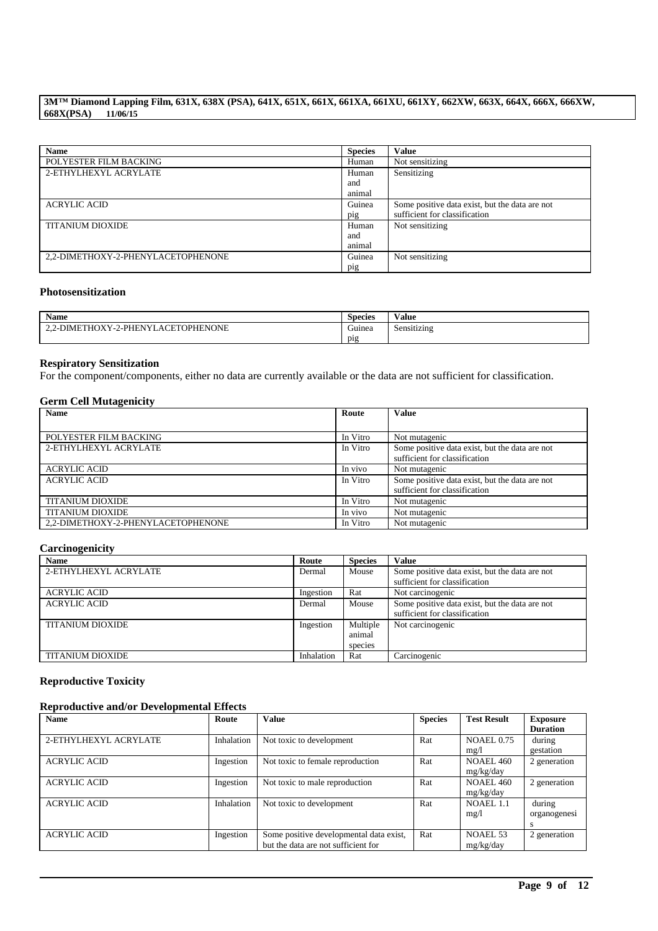| <b>Name</b>                        | <b>Species</b> | <b>Value</b>                                   |
|------------------------------------|----------------|------------------------------------------------|
| POLYESTER FILM BACKING             | Human          | Not sensitizing                                |
| 2-ETHYLHEXYL ACRYLATE              | Human          | Sensitizing                                    |
|                                    | and            |                                                |
|                                    | animal         |                                                |
| <b>ACRYLIC ACID</b>                | Guinea         | Some positive data exist, but the data are not |
|                                    | pig            | sufficient for classification                  |
| <b>TITANIUM DIOXIDE</b>            | Human          | Not sensitizing                                |
|                                    | and            |                                                |
|                                    | animal         |                                                |
| 2,2-DIMETHOXY-2-PHENYLACETOPHENONE | Guinea         | Not sensitizing                                |
|                                    | pig            |                                                |

#### **Photosensitization**

| <b>Name</b>                                                | $\sim$<br><b>Species</b> | $-1$<br>∕ alue |
|------------------------------------------------------------|--------------------------|----------------|
| 2-DIMETHOXY-2-PHENYL<br>ACETOPHENONE<br>$\sim$<br><u>.</u> | $\sim$<br>Guinea         | Sensitizing    |
|                                                            | $p_1g$                   |                |

## **Respiratory Sensitization**

For the component/components, either no data are currently available or the data are not sufficient for classification.

# **Germ Cell Mutagenicity**

| <b>Name</b>                        | Route    | <b>Value</b>                                   |
|------------------------------------|----------|------------------------------------------------|
|                                    |          |                                                |
| POLYESTER FILM BACKING             | In Vitro | Not mutagenic                                  |
| 2-ETHYLHEXYL ACRYLATE              | In Vitro | Some positive data exist, but the data are not |
|                                    |          | sufficient for classification                  |
| <b>ACRYLIC ACID</b>                | In vivo  | Not mutagenic                                  |
| <b>ACRYLIC ACID</b>                | In Vitro | Some positive data exist, but the data are not |
|                                    |          | sufficient for classification                  |
| <b>TITANIUM DIOXIDE</b>            | In Vitro | Not mutagenic                                  |
| <b>TITANIUM DIOXIDE</b>            | In vivo  | Not mutagenic                                  |
| 2,2-DIMETHOXY-2-PHENYLACETOPHENONE | In Vitro | Not mutagenic                                  |

# **Carcinogenicity**

| <b>Name</b>             | Route      | <b>Species</b> | Value                                          |
|-------------------------|------------|----------------|------------------------------------------------|
| 2-ETHYLHEXYL ACRYLATE   | Dermal     | Mouse          | Some positive data exist, but the data are not |
|                         |            |                | sufficient for classification                  |
| <b>ACRYLIC ACID</b>     | Ingestion  | Rat            | Not carcinogenic                               |
| <b>ACRYLIC ACID</b>     | Dermal     | Mouse          | Some positive data exist, but the data are not |
|                         |            |                | sufficient for classification                  |
| <b>TITANIUM DIOXIDE</b> | Ingestion  | Multiple       | Not carcinogenic                               |
|                         |            | animal         |                                                |
|                         |            | species        |                                                |
| <b>TITANIUM DIOXIDE</b> | Inhalation | Rat            | Carcinogenic                                   |

# **Reproductive Toxicity**

# **Reproductive and/or Developmental Effects**

| <b>Name</b>           | Route      | <b>Value</b>                            | <b>Species</b> | <b>Test Result</b> | <b>Exposure</b><br><b>Duration</b> |
|-----------------------|------------|-----------------------------------------|----------------|--------------------|------------------------------------|
| 2-ETHYLHEXYL ACRYLATE | Inhalation | Not toxic to development                | Rat            | <b>NOAEL 0.75</b>  | during                             |
|                       |            |                                         |                | mg/1               | gestation                          |
| <b>ACRYLIC ACID</b>   | Ingestion  | Not toxic to female reproduction        | Rat            | <b>NOAEL 460</b>   | 2 generation                       |
|                       |            |                                         |                | mg/kg/day          |                                    |
| <b>ACRYLIC ACID</b>   | Ingestion  | Not toxic to male reproduction          | Rat            | <b>NOAEL 460</b>   | 2 generation                       |
|                       |            |                                         |                | mg/kg/day          |                                    |
| <b>ACRYLIC ACID</b>   | Inhalation | Not toxic to development                | Rat            | NOAEL 1.1          | during                             |
|                       |            |                                         |                | mg/l               | organogenesi                       |
|                       |            |                                         |                |                    | s                                  |
| <b>ACRYLIC ACID</b>   | Ingestion  | Some positive developmental data exist, | Rat            | NOAEL 53           | 2 generation                       |
|                       |            | but the data are not sufficient for     |                | mg/kg/day          |                                    |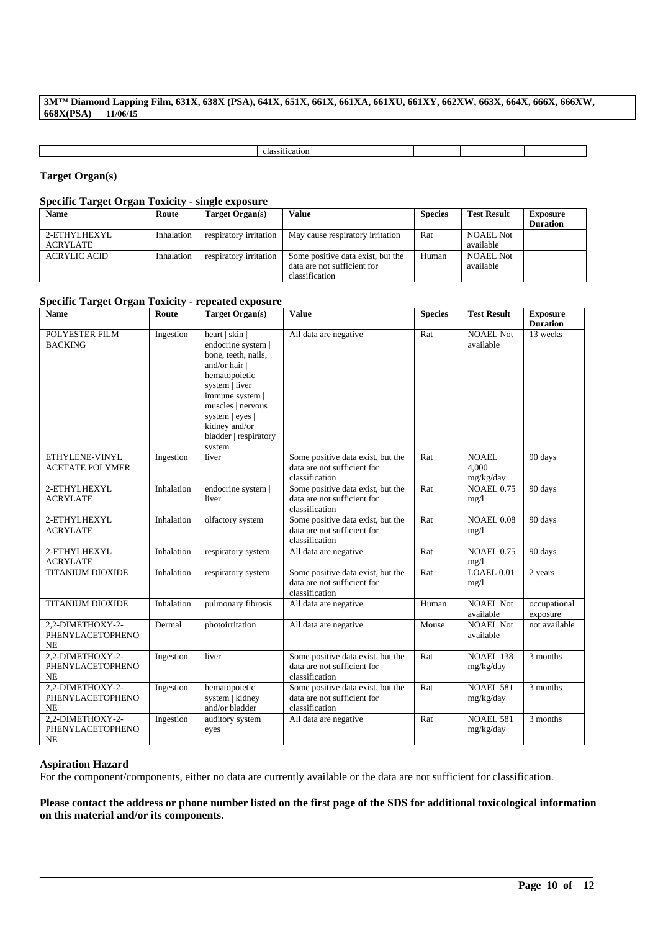classification

# **Target Organ(s)**

# **Specific Target Organ Toxicity - single exposure**

| <b>Name</b>         | Route      | Target Organ(s)        | <b>Value</b>                      | <b>Species</b> | <b>Test Result</b> | <b>Exposure</b> |
|---------------------|------------|------------------------|-----------------------------------|----------------|--------------------|-----------------|
|                     |            |                        |                                   |                |                    | <b>Duration</b> |
| 2-ETHYLHEXYL        | Inhalation | respiratory irritation | May cause respiratory irritation  | Rat            | <b>NOAEL Not</b>   |                 |
| ACRYLATE            |            |                        |                                   |                | available          |                 |
| <b>ACRYLIC ACID</b> | Inhalation | respiratory irritation | Some positive data exist, but the | Human          | <b>NOAEL Not</b>   |                 |
|                     |            |                        | data are not sufficient for       |                | available          |                 |
|                     |            |                        | classification                    |                |                    |                 |

# **Specific Target Organ Toxicity - repeated exposure**

| <b>Name</b>                                       | Route      | <b>Target Organ(s)</b>                                                                                                                                                                                                           | <b>Value</b>                                                                       | <b>Species</b> | <b>Test Result</b>              | <b>Exposure</b>          |
|---------------------------------------------------|------------|----------------------------------------------------------------------------------------------------------------------------------------------------------------------------------------------------------------------------------|------------------------------------------------------------------------------------|----------------|---------------------------------|--------------------------|
|                                                   |            |                                                                                                                                                                                                                                  |                                                                                    |                |                                 | <b>Duration</b>          |
| POLYESTER FILM<br><b>BACKING</b>                  | Ingestion  | heart   skin  <br>endocrine system  <br>bone, teeth, nails,<br>and/or hair  <br>hematopoietic<br>system   liver  <br>immune system  <br>muscles   nervous<br>system   eyes  <br>kidney and/or<br>bladder   respiratory<br>system | All data are negative                                                              | Rat            | <b>NOAEL Not</b><br>available   | 13 weeks                 |
| ETHYLENE-VINYL<br><b>ACETATE POLYMER</b>          | Ingestion  | liver                                                                                                                                                                                                                            | Some positive data exist, but the<br>data are not sufficient for<br>classification | Rat            | NOAEL.<br>4.000<br>mg/kg/day    | 90 days                  |
| 2-ETHYLHEXYL<br><b>ACRYLATE</b>                   | Inhalation | endocrine system  <br>liver                                                                                                                                                                                                      | Some positive data exist, but the<br>data are not sufficient for<br>classification | Rat            | <b>NOAEL 0.75</b><br>mg/1       | 90 days                  |
| 2-ETHYLHEXYL<br><b>ACRYLATE</b>                   | Inhalation | olfactory system                                                                                                                                                                                                                 | Some positive data exist, but the<br>data are not sufficient for<br>classification | Rat            | <b>NOAEL 0.08</b><br>mg/1       | 90 days                  |
| 2-ETHYLHEXYL<br><b>ACRYLATE</b>                   | Inhalation | respiratory system                                                                                                                                                                                                               | All data are negative                                                              | Rat            | <b>NOAEL 0.75</b><br>mg/l       | 90 days                  |
| <b>TITANIUM DIOXIDE</b>                           | Inhalation | respiratory system                                                                                                                                                                                                               | Some positive data exist, but the<br>data are not sufficient for<br>classification | Rat            | $LOAEL$ <sub>0.01</sub><br>mg/1 | 2 years                  |
| <b>TITANIUM DIOXIDE</b>                           | Inhalation | pulmonary fibrosis                                                                                                                                                                                                               | All data are negative                                                              | Human          | <b>NOAEL Not</b><br>available   | occupational<br>exposure |
| 2,2-DIMETHOXY-2-<br>PHENYLACETOPHENO<br>NE        | Dermal     | photoirritation                                                                                                                                                                                                                  | All data are negative                                                              | Mouse          | <b>NOAEL Not</b><br>available   | not available            |
| 2,2-DIMETHOXY-2-<br>PHENYLACETOPHENO<br>NE        | Ingestion  | liver                                                                                                                                                                                                                            | Some positive data exist, but the<br>data are not sufficient for<br>classification | Rat            | <b>NOAEL 138</b><br>mg/kg/day   | 3 months                 |
| 2,2-DIMETHOXY-2-<br>PHENYLACETOPHENO<br><b>NE</b> | Ingestion  | hematopoietic<br>system   kidney<br>and/or bladder                                                                                                                                                                               | Some positive data exist, but the<br>data are not sufficient for<br>classification | Rat            | <b>NOAEL 581</b><br>mg/kg/day   | 3 months                 |
| 2,2-DIMETHOXY-2-<br>PHENYLACETOPHENO<br>NE        | Ingestion  | auditory system  <br>eyes                                                                                                                                                                                                        | All data are negative                                                              | Rat            | <b>NOAEL 581</b><br>mg/kg/day   | 3 months                 |

### **Aspiration Hazard**

For the component/components, either no data are currently available or the data are not sufficient for classification.

**Please contact the address or phone number listed on the first page of the SDS for additional toxicological information on this material and/or its components.**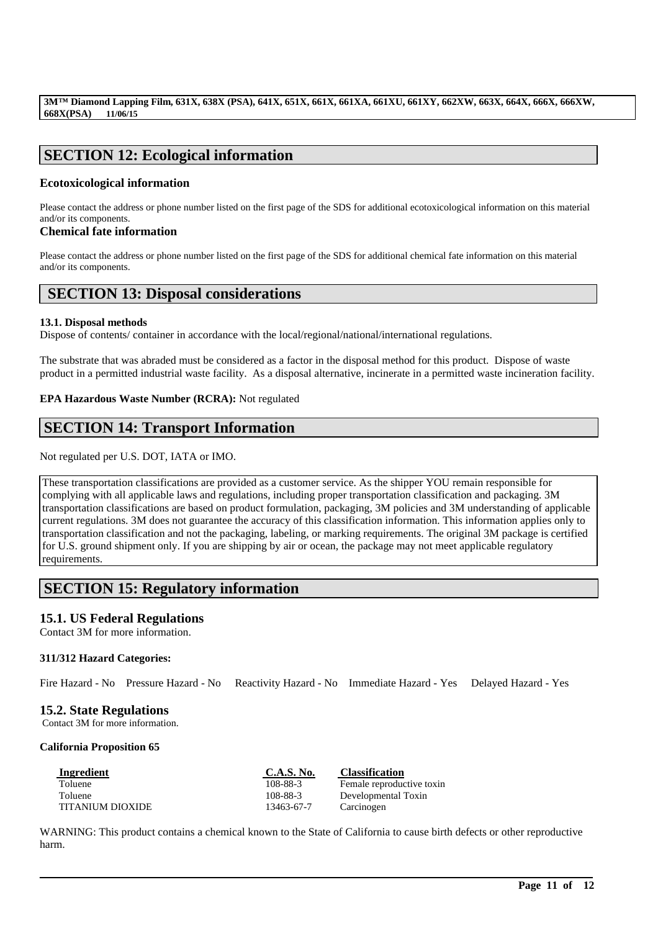# **SECTION 12: Ecological information**

# **Ecotoxicological information**

Please contact the address or phone number listed on the first page of the SDS for additional ecotoxicological information on this material and/or its components.

# **Chemical fate information**

Please contact the address or phone number listed on the first page of the SDS for additional chemical fate information on this material and/or its components.

# **SECTION 13: Disposal considerations**

### **13.1. Disposal methods**

Dispose of contents/ container in accordance with the local/regional/national/international regulations.

The substrate that was abraded must be considered as a factor in the disposal method for this product. Dispose of waste product in a permitted industrial waste facility. As a disposal alternative, incinerate in a permitted waste incineration facility.

# **EPA Hazardous Waste Number (RCRA):** Not regulated

# **SECTION 14: Transport Information**

Not regulated per U.S. DOT, IATA or IMO.

These transportation classifications are provided as a customer service. As the shipper YOU remain responsible for complying with all applicable laws and regulations, including proper transportation classification and packaging. 3M transportation classifications are based on product formulation, packaging, 3M policies and 3M understanding of applicable current regulations. 3M does not guarantee the accuracy of this classification information. This information applies only to transportation classification and not the packaging, labeling, or marking requirements. The original 3M package is certified for U.S. ground shipment only. If you are shipping by air or ocean, the package may not meet applicable regulatory requirements.

# **SECTION 15: Regulatory information**

# **15.1. US Federal Regulations**

Contact 3M for more information.

# **311/312 Hazard Categories:**

Fire Hazard - No Pressure Hazard - No Reactivity Hazard - No Immediate Hazard - Yes Delayed Hazard - Yes

# **15.2. State Regulations**

Contact 3M for more information.

#### **California Proposition 65**

| Ingredient              | C.A.S. No. | <b>Classification</b>     |
|-------------------------|------------|---------------------------|
| <b>Toluene</b>          | 108-88-3   | Female reproductive toxin |
| Toluene                 | 108-88-3   | Developmental Toxin       |
| <b>TITANIUM DIOXIDE</b> | 13463-67-7 | Carcinogen                |

WARNING: This product contains a chemical known to the State of California to cause birth defects or other reproductive harm.